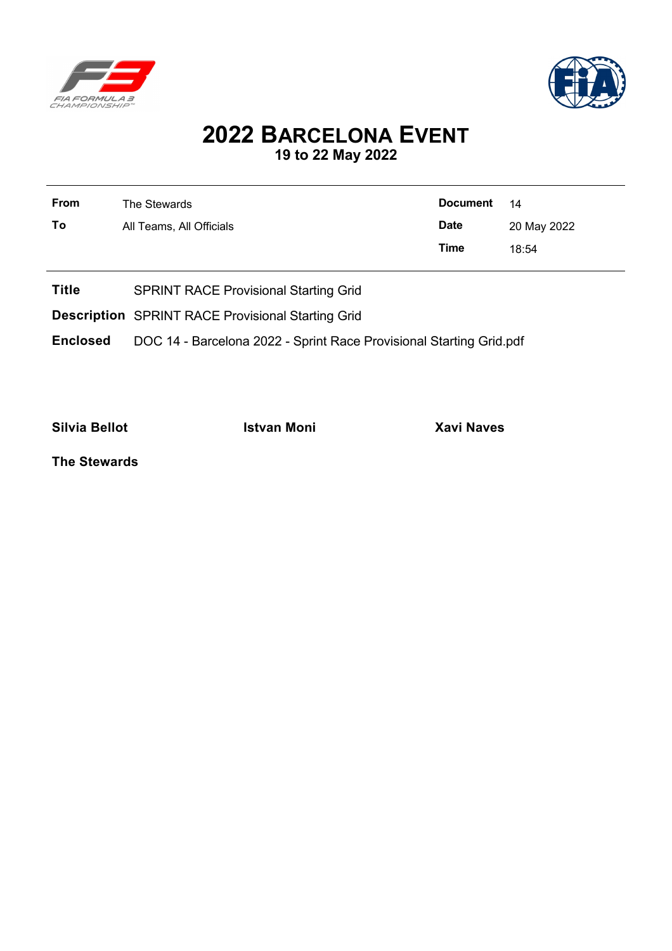



## **2022 BARCELONA EVENT 19 to 22 May 2022**

| From | The Stewards             | Document 14 |             |
|------|--------------------------|-------------|-------------|
| To   | All Teams, All Officials | <b>Date</b> | 20 May 2022 |
|      |                          | Time        | 18:54       |
|      |                          |             |             |

- **Title** SPRINT RACE Provisional Starting Grid
- **Description** SPRINT RACE Provisional Starting Grid
- **Enclosed** DOC 14 Barcelona 2022 Sprint Race Provisional Starting Grid.pdf

**Silvia Bellot Istvan Moni Xavi Naves**

**The Stewards**